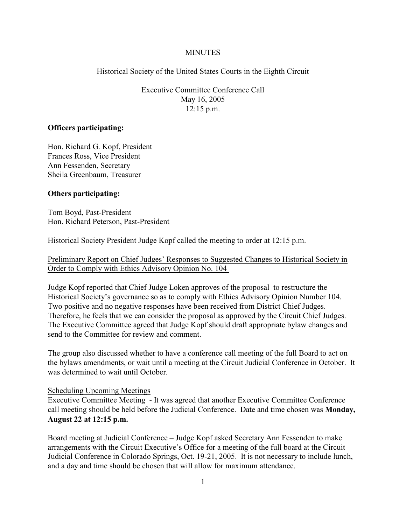### **MINUTES**

Historical Society of the United States Courts in the Eighth Circuit

Executive Committee Conference Call May 16, 2005 12:15 p.m.

## **Officers participating:**

Hon. Richard G. Kopf, President Frances Ross, Vice President Ann Fessenden, Secretary Sheila Greenbaum, Treasurer

## **Others participating:**

Tom Boyd, Past-President Hon. Richard Peterson, Past-President

Historical Society President Judge Kopf called the meeting to order at 12:15 p.m.

Preliminary Report on Chief Judges' Responses to Suggested Changes to Historical Society in Order to Comply with Ethics Advisory Opinion No. 104

Judge Kopf reported that Chief Judge Loken approves of the proposal to restructure the Historical Society's governance so as to comply with Ethics Advisory Opinion Number 104. Two positive and no negative responses have been received from District Chief Judges. Therefore, he feels that we can consider the proposal as approved by the Circuit Chief Judges. The Executive Committee agreed that Judge Kopf should draft appropriate bylaw changes and send to the Committee for review and comment.

The group also discussed whether to have a conference call meeting of the full Board to act on the bylaws amendments, or wait until a meeting at the Circuit Judicial Conference in October. It was determined to wait until October.

#### Scheduling Upcoming Meetings

Executive Committee Meeting - It was agreed that another Executive Committee Conference call meeting should be held before the Judicial Conference. Date and time chosen was **Monday, August 22 at 12:15 p.m.**

Board meeting at Judicial Conference – Judge Kopf asked Secretary Ann Fessenden to make arrangements with the Circuit Executive's Office for a meeting of the full board at the Circuit Judicial Conference in Colorado Springs, Oct. 19-21, 2005. It is not necessary to include lunch, and a day and time should be chosen that will allow for maximum attendance.